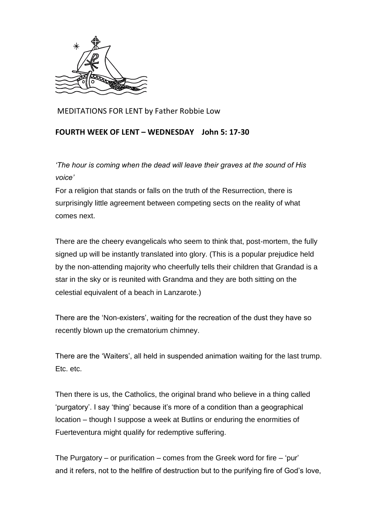

MEDITATIONS FOR LENT by Father Robbie Low

## **FOURTH WEEK OF LENT – WEDNESDAY John 5: 17-30**

*'The hour is coming when the dead will leave their graves at the sound of His voice'*

For a religion that stands or falls on the truth of the Resurrection, there is surprisingly little agreement between competing sects on the reality of what comes next.

There are the cheery evangelicals who seem to think that, post-mortem, the fully signed up will be instantly translated into glory. (This is a popular prejudice held by the non-attending majority who cheerfully tells their children that Grandad is a star in the sky or is reunited with Grandma and they are both sitting on the celestial equivalent of a beach in Lanzarote.)

There are the 'Non-existers', waiting for the recreation of the dust they have so recently blown up the crematorium chimney.

There are the 'Waiters', all held in suspended animation waiting for the last trump. Etc. etc.

Then there is us, the Catholics, the original brand who believe in a thing called 'purgatory'. I say 'thing' because it's more of a condition than a geographical location – though I suppose a week at Butlins or enduring the enormities of Fuerteventura might qualify for redemptive suffering.

The Purgatory – or purification – comes from the Greek word for fire – 'pur' and it refers, not to the hellfire of destruction but to the purifying fire of God's love,